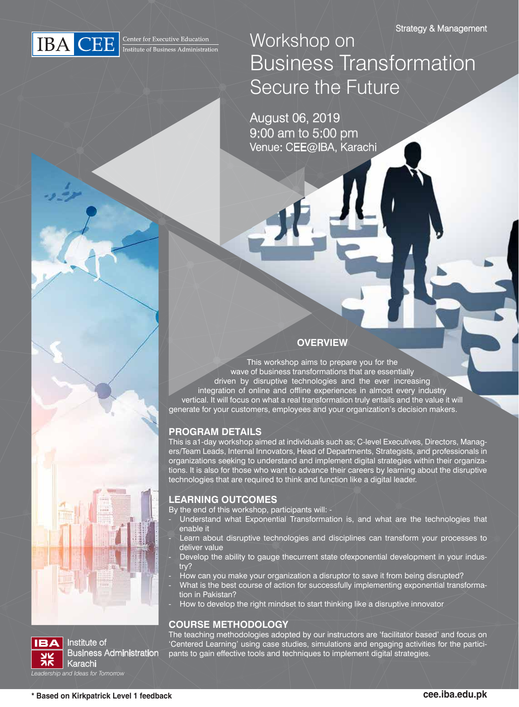

Workshop on Business Transformation Secure the Future

August 06, 2019 9:00 am to 5:00 pm Venue: CEE@IBA, Karachi

### **OVERVIEW**

This workshop aims to prepare you for the wave of business transformations that are essentially driven by disruptive technologies and the ever increasing integration of online and offline experiences in almost every industry vertical. It will focus on what a real transformation truly entails and the value it will generate for your customers, employees and your organization's decision makers.

### **PROGRAM DETAILS**

This is a1-day workshop aimed at individuals such as; C-level Executives, Directors, Managers/Team Leads, Internal Innovators, Head of Departments, Strategists, and professionals in organizations seeking to understand and implement digital strategies within their organizations. It is also for those who want to advance their careers by learning about the disruptive technologies that are required to think and function like a digital leader.

### **LEARNING OUTCOMES**

- By the end of this workshop, participants will:
	- Understand what Exponential Transformation is, and what are the technologies that enable it
	- Learn about disruptive technologies and disciplines can transform your processes to deliver value
	- Develop the ability to gauge thecurrent state ofexponential development in your industry?
- How can you make your organization a disruptor to save it from being disrupted?
- What is the best course of action for successfully implementing exponential transformation in Pakistan?
- How to develop the right mindset to start thinking like a disruptive innovator

#### **COURSE METHODOLOGY**

The teaching methodologies adopted by our instructors are 'facilitator based' and focus on 'Centered Learning' using case studies, simulations and engaging activities for the participants to gain effective tools and techniques to implement digital strategies.